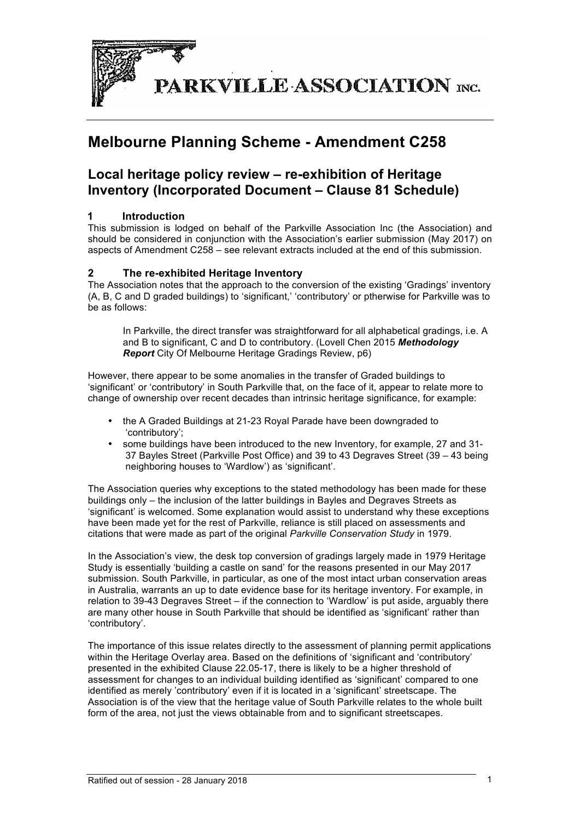

# **Melbourne Planning Scheme - Amendment C258**

# **Local heritage policy review – re-exhibition of Heritage Inventory (Incorporated Document – Clause 81 Schedule)**

# **1 Introduction**

This submission is lodged on behalf of the Parkville Association Inc (the Association) and should be considered in conjunction with the Association's earlier submission (May 2017) on aspects of Amendment C258 – see relevant extracts included at the end of this submission.

### **2 The re-exhibited Heritage Inventory**

The Association notes that the approach to the conversion of the existing 'Gradings' inventory (A, B, C and D graded buildings) to 'significant,' 'contributory' or ptherwise for Parkville was to be as follows:

In Parkville, the direct transfer was straightforward for all alphabetical gradings, i.e. A and B to significant, C and D to contributory. (Lovell Chen 2015 *Methodology Report* City Of Melbourne Heritage Gradings Review, p6)

However, there appear to be some anomalies in the transfer of Graded buildings to 'significant' or 'contributory' in South Parkville that, on the face of it, appear to relate more to change of ownership over recent decades than intrinsic heritage significance, for example:

- the A Graded Buildings at 21-23 Royal Parade have been downgraded to 'contributory';
- some buildings have been introduced to the new Inventory, for example, 27 and 31- 37 Bayles Street (Parkville Post Office) and 39 to 43 Degraves Street (39 – 43 being neighboring houses to 'Wardlow') as 'significant'.

The Association queries why exceptions to the stated methodology has been made for these buildings only – the inclusion of the latter buildings in Bayles and Degraves Streets as 'significant' is welcomed. Some explanation would assist to understand why these exceptions have been made yet for the rest of Parkville, reliance is still placed on assessments and citations that were made as part of the original *Parkville Conservation Study* in 1979.

In the Association's view, the desk top conversion of gradings largely made in 1979 Heritage Study is essentially 'building a castle on sand' for the reasons presented in our May 2017 submission. South Parkville, in particular, as one of the most intact urban conservation areas in Australia, warrants an up to date evidence base for its heritage inventory. For example, in relation to 39-43 Degraves Street – if the connection to 'Wardlow' is put aside, arguably there are many other house in South Parkville that should be identified as 'significant' rather than 'contributory'.

The importance of this issue relates directly to the assessment of planning permit applications within the Heritage Overlay area. Based on the definitions of 'significant and 'contributory' presented in the exhibited Clause 22.05-17, there is likely to be a higher threshold of assessment for changes to an individual building identified as 'significant' compared to one identified as merely 'contributory' even if it is located in a 'significant' streetscape. The Association is of the view that the heritage value of South Parkville relates to the whole built form of the area, not just the views obtainable from and to significant streetscapes.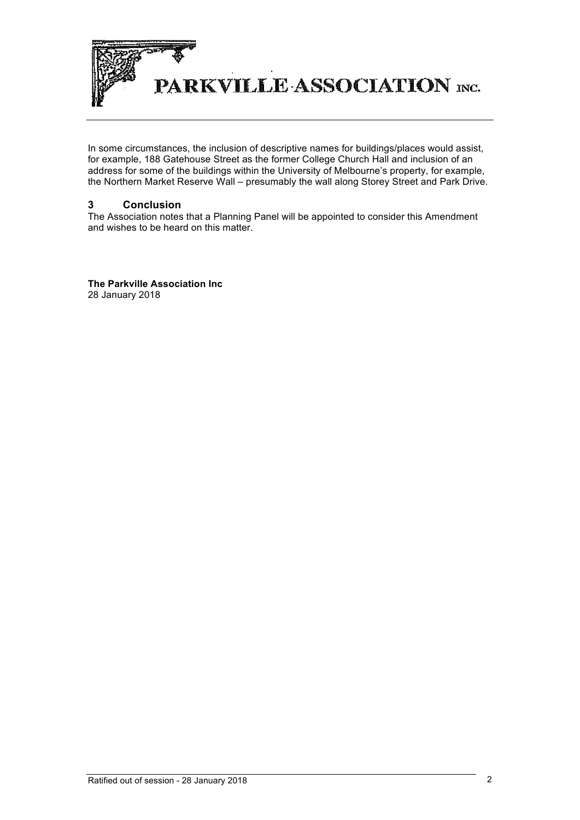

In some circumstances, the inclusion of descriptive names for buildings/places would assist, for example, 188 Gatehouse Street as the former College Church Hall and inclusion of an address for some of the buildings within the University of Melbourne's property, for example, the Northern Market Reserve Wall – presumably the wall along Storey Street and Park Drive.

## **3 Conclusion**

The Association notes that a Planning Panel will be appointed to consider this Amendment and wishes to be heard on this matter.

**The Parkville Association Inc** 28 January 2018